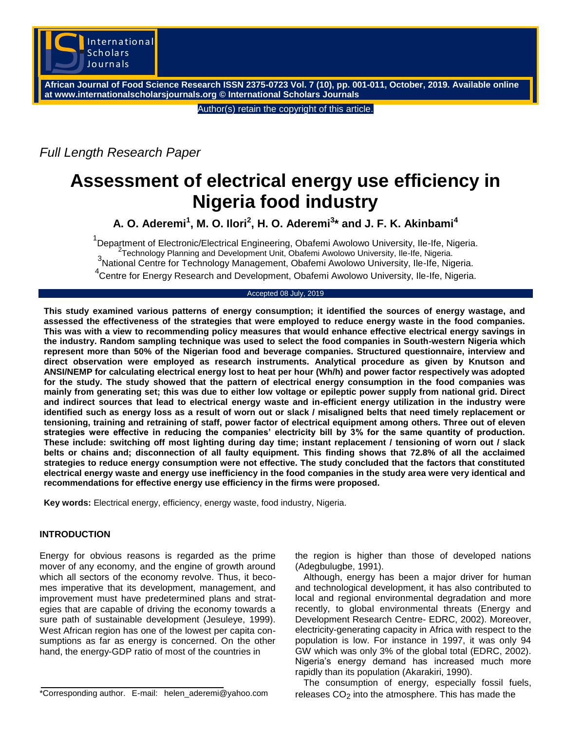

**African Journal of Food Science Research ISSN 2375-0723 Vol. 7 (10), pp. 001-011, October, 2019. Available online at www.internationalscholarsjournals.org © International Scholars Journals**

Author(s) retain the copyright of this article.

*Full Length Research Paper*

# **Assessment of electrical energy use efficiency in Nigeria food industry**

**A. O. Aderemi<sup>1</sup> , M. O. Ilori<sup>2</sup> , H. O. Aderemi<sup>3</sup> \* and J. F. K. Akinbami<sup>4</sup>**

<sup>1</sup>Department of Electronic/Electrical Engineering, Obafemi Awolowo University, Ile-Ife, Nigeria. Technology Planning and Development Unit, Obafemi Awolowo University, Ile-Ife, Nigeria. <sub>3</sub> fechnology Planning and Development Unit, Obafemi Awolowo University, Ile-Ife, Nigeria.<br><sup>3</sup>National Centre for Technology Management, Obafemi Awolowo University, Ile-Ife, Nigeria. 4 Centre for Energy Research and Development, Obafemi Awolowo University, Ile-Ife, Nigeria.

#### Accepted 08 July, 2019

**This study examined various patterns of energy consumption; it identified the sources of energy wastage, and assessed the effectiveness of the strategies that were employed to reduce energy waste in the food companies. This was with a view to recommending policy measures that would enhance effective electrical energy savings in the industry. Random sampling technique was used to select the food companies in South-western Nigeria which represent more than 50% of the Nigerian food and beverage companies. Structured questionnaire, interview and direct observation were employed as research instruments. Analytical procedure as given by Knutson and ANSI/NEMP for calculating electrical energy lost to heat per hour (Wh/h) and power factor respectively was adopted for the study. The study showed that the pattern of electrical energy consumption in the food companies was mainly from generating set; this was due to either low voltage or epileptic power supply from national grid. Direct and indirect sources that lead to electrical energy waste and in-efficient energy utilization in the industry were identified such as energy loss as a result of worn out or slack / misaligned belts that need timely replacement or tensioning, training and retraining of staff, power factor of electrical equipment among others. Three out of eleven strategies were effective in reducing the companies' electricity bill by 3% for the same quantity of production. These include: switching off most lighting during day time; instant replacement / tensioning of worn out / slack belts or chains and; disconnection of all faulty equipment. This finding shows that 72.8% of all the acclaimed strategies to reduce energy consumption were not effective. The study concluded that the factors that constituted electrical energy waste and energy use inefficiency in the food companies in the study area were very identical and recommendations for effective energy use efficiency in the firms were proposed.**

**Key words:** Electrical energy, efficiency, energy waste, food industry, Nigeria.

## **INTRODUCTION**

Energy for obvious reasons is regarded as the prime mover of any economy, and the engine of growth around which all sectors of the economy revolve. Thus, it becomes imperative that its development, management, and improvement must have predetermined plans and strategies that are capable of driving the economy towards a sure path of sustainable development (Jesuleye, 1999). West African region has one of the lowest per capita consumptions as far as energy is concerned. On the other hand, the energy-GDP ratio of most of the countries in

\*Corresponding author. E-mail: helen\_aderemi@yahoo.com

the region is higher than those of developed nations (Adegbulugbe, 1991).

Although, energy has been a major driver for human and technological development, it has also contributed to local and regional environmental degradation and more recently, to global environmental threats (Energy and Development Research Centre- EDRC, 2002). Moreover, electricity-generating capacity in Africa with respect to the population is low. For instance in 1997, it was only 94 GW which was only 3% of the global total (EDRC, 2002). Nigeria's energy demand has increased much more rapidly than its population (Akarakiri, 1990).

The consumption of energy, especially fossil fuels, releases  $CO<sub>2</sub>$  into the atmosphere. This has made the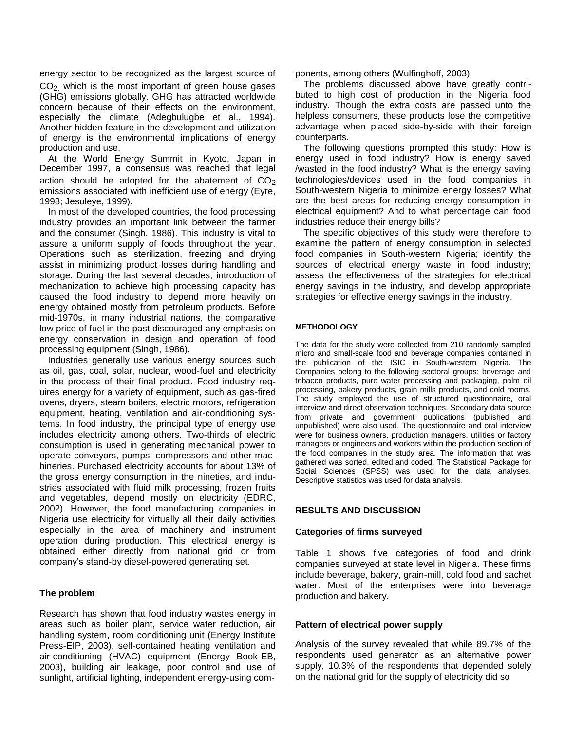energy sector to be recognized as the largest source of CO2, which is the most important of green house gases (GHG) emissions globally. GHG has attracted worldwide concern because of their effects on the environment, especially the climate (Adegbulugbe et al., 1994). Another hidden feature in the development and utilization of energy is the environmental implications of energy production and use.

At the World Energy Summit in Kyoto, Japan in December 1997, a consensus was reached that legal action should be adopted for the abatement of  $CO<sub>2</sub>$ emissions associated with inefficient use of energy (Eyre, 1998; Jesuleye, 1999).

In most of the developed countries, the food processing industry provides an important link between the farmer and the consumer (Singh, 1986). This industry is vital to assure a uniform supply of foods throughout the year. Operations such as sterilization, freezing and drying assist in minimizing product losses during handling and storage. During the last several decades, introduction of mechanization to achieve high processing capacity has caused the food industry to depend more heavily on energy obtained mostly from petroleum products. Before mid-1970s, in many industrial nations, the comparative low price of fuel in the past discouraged any emphasis on energy conservation in design and operation of food processing equipment (Singh, 1986).

Industries generally use various energy sources such as oil, gas, coal, solar, nuclear, wood-fuel and electricity in the process of their final product. Food industry requires energy for a variety of equipment, such as gas-fired ovens, dryers, steam boilers, electric motors, refrigeration equipment, heating, ventilation and air-conditioning systems. In food industry, the principal type of energy use includes electricity among others. Two-thirds of electric consumption is used in generating mechanical power to operate conveyors, pumps, compressors and other machineries. Purchased electricity accounts for about 13% of the gross energy consumption in the nineties, and industries associated with fluid milk processing, frozen fruits and vegetables, depend mostly on electricity (EDRC, 2002). However, the food manufacturing companies in Nigeria use electricity for virtually all their daily activities especially in the area of machinery and instrument operation during production. This electrical energy is obtained either directly from national grid or from company's stand-by diesel-powered generating set.

## **The problem**

Research has shown that food industry wastes energy in areas such as boiler plant, service water reduction, air handling system, room conditioning unit (Energy Institute Press-EIP, 2003), self-contained heating ventilation and air-conditioning (HVAC) equipment (Energy Book-EB, 2003), building air leakage, poor control and use of sunlight, artificial lighting, independent energy-using components, among others (Wulfinghoff, 2003).

The problems discussed above have greatly contributed to high cost of production in the Nigeria food industry. Though the extra costs are passed unto the helpless consumers, these products lose the competitive advantage when placed side-by-side with their foreign counterparts.

The following questions prompted this study: How is energy used in food industry? How is energy saved /wasted in the food industry? What is the energy saving technologies/devices used in the food companies in South-western Nigeria to minimize energy losses? What are the best areas for reducing energy consumption in electrical equipment? And to what percentage can food industries reduce their energy bills?

The specific objectives of this study were therefore to examine the pattern of energy consumption in selected food companies in South-western Nigeria; identify the sources of electrical energy waste in food industry; assess the effectiveness of the strategies for electrical energy savings in the industry, and develop appropriate strategies for effective energy savings in the industry.

#### **METHODOLOGY**

The data for the study were collected from 210 randomly sampled micro and small-scale food and beverage companies contained in the publication of the ISIC in South-western Nigeria. The Companies belong to the following sectoral groups: beverage and tobacco products, pure water processing and packaging, palm oil processing, bakery products, grain mills products, and cold rooms. The study employed the use of structured questionnaire, oral interview and direct observation techniques. Secondary data source from private and government publications (published and unpublished) were also used. The questionnaire and oral interview were for business owners, production managers, utilities or factory managers or engineers and workers within the production section of the food companies in the study area. The information that was gathered was sorted, edited and coded. The Statistical Package for Social Sciences (SPSS) was used for the data analyses. Descriptive statistics was used for data analysis.

#### **RESULTS AND DISCUSSION**

#### **Categories of firms surveyed**

Table 1 shows five categories of food and drink companies surveyed at state level in Nigeria. These firms include beverage, bakery, grain-mill, cold food and sachet water. Most of the enterprises were into beverage production and bakery.

#### **Pattern of electrical power supply**

Analysis of the survey revealed that while 89.7% of the respondents used generator as an alternative power supply, 10.3% of the respondents that depended solely on the national grid for the supply of electricity did so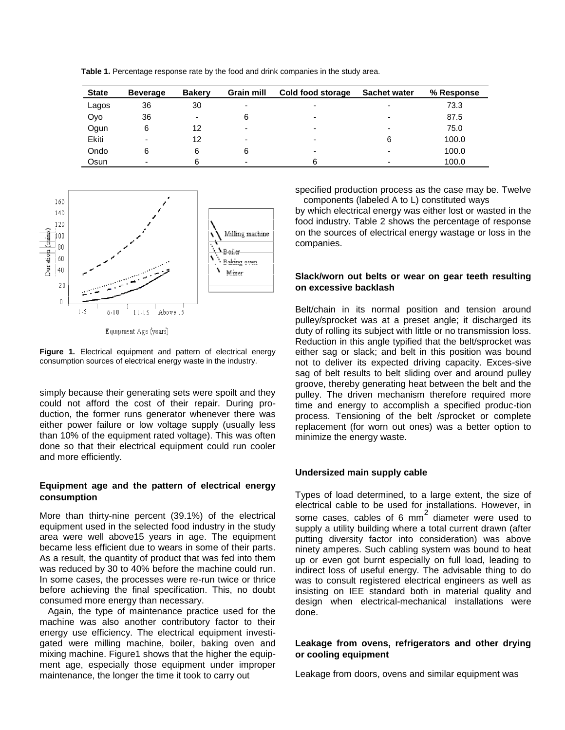**Table 1.** Percentage response rate by the food and drink companies in the study area.

| <b>State</b> | <b>Beverage</b> | <b>Bakery</b> | <b>Grain mill</b> | Cold food storage        | <b>Sachet water</b>      | % Response |
|--------------|-----------------|---------------|-------------------|--------------------------|--------------------------|------------|
| Lagos        | 36              | 30            | -                 | -                        | -                        | 73.3       |
| Oyo          | 36              | -             | 6                 | $\overline{\phantom{0}}$ | $\overline{\phantom{0}}$ | 87.5       |
| Ogun         | 6               | 12            | $\blacksquare$    | $\overline{\phantom{0}}$ | ۰                        | 75.0       |
| Ekiti        | -               | 12            | -                 | -                        | 6                        | 100.0      |
| Ondo         | 6               |               | 6                 | $\overline{\phantom{0}}$ | ۰                        | 100.0      |
| Osun         |                 |               | -                 | 6                        | -                        | 100.0      |



Equipment Age (years)

**Figure 1.** Electrical equipment and pattern of electrical energy consumption sources of electrical energy waste in the industry.

simply because their generating sets were spoilt and they could not afford the cost of their repair. During production, the former runs generator whenever there was either power failure or low voltage supply (usually less than 10% of the equipment rated voltage). This was often done so that their electrical equipment could run cooler and more efficiently.

## **Equipment age and the pattern of electrical energy consumption**

More than thirty-nine percent (39.1%) of the electrical equipment used in the selected food industry in the study area were well above15 years in age. The equipment became less efficient due to wears in some of their parts. As a result, the quantity of product that was fed into them was reduced by 30 to 40% before the machine could run. In some cases, the processes were re-run twice or thrice before achieving the final specification. This, no doubt consumed more energy than necessary.

Again, the type of maintenance practice used for the machine was also another contributory factor to their energy use efficiency. The electrical equipment investigated were milling machine, boiler, baking oven and mixing machine. Figure1 shows that the higher the equipment age, especially those equipment under improper maintenance, the longer the time it took to carry out

specified production process as the case may be. Twelve components (labeled A to L) constituted ways

by which electrical energy was either lost or wasted in the food industry. Table 2 shows the percentage of response on the sources of electrical energy wastage or loss in the companies.

## **Slack/worn out belts or wear on gear teeth resulting on excessive backlash**

Belt/chain in its normal position and tension around pulley/sprocket was at a preset angle; it discharged its duty of rolling its subject with little or no transmission loss. Reduction in this angle typified that the belt/sprocket was either sag or slack; and belt in this position was bound not to deliver its expected driving capacity. Exces-sive sag of belt results to belt sliding over and around pulley groove, thereby generating heat between the belt and the pulley. The driven mechanism therefore required more time and energy to accomplish a specified produc-tion process. Tensioning of the belt /sprocket or complete replacement (for worn out ones) was a better option to minimize the energy waste.

## **Undersized main supply cable**

Types of load determined, to a large extent, the size of electrical cable to be used for installations. However, in some cases, cables of 6 mm<sup>2</sup> diameter were used to supply a utility building where a total current drawn (after putting diversity factor into consideration) was above ninety amperes. Such cabling system was bound to heat up or even got burnt especially on full load, leading to indirect loss of useful energy. The advisable thing to do was to consult registered electrical engineers as well as insisting on IEE standard both in material quality and design when electrical-mechanical installations were done.

## **Leakage from ovens, refrigerators and other drying or cooling equipment**

Leakage from doors, ovens and similar equipment was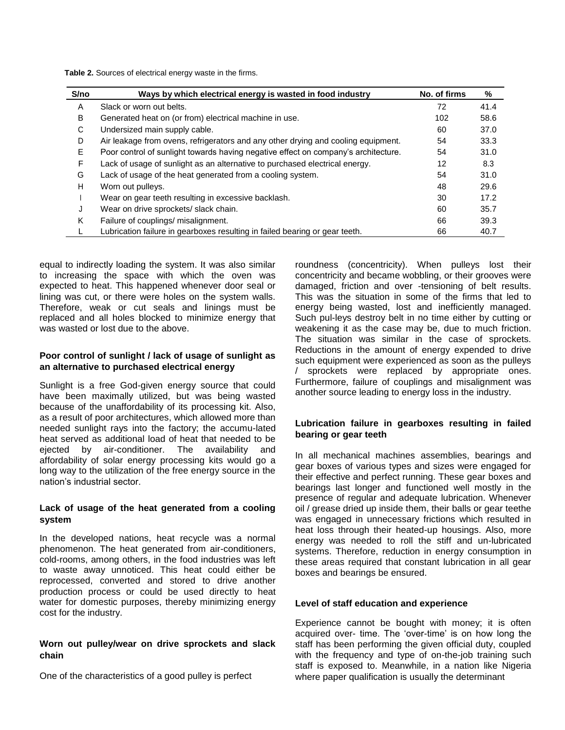**Table 2.** Sources of electrical energy waste in the firms.

| S/no | Ways by which electrical energy is wasted in food industry                         | No. of firms | %    |
|------|------------------------------------------------------------------------------------|--------------|------|
| A    | Slack or worn out belts.                                                           | 72           | 41.4 |
| B    | Generated heat on (or from) electrical machine in use.                             | 102          | 58.6 |
| C    | Undersized main supply cable.                                                      | 60           | 37.0 |
| D    | Air leakage from ovens, refrigerators and any other drying and cooling equipment.  | 54           | 33.3 |
| E    | Poor control of sunlight towards having negative effect on company's architecture. | 54           | 31.0 |
| F    | Lack of usage of sunlight as an alternative to purchased electrical energy.        | 12           | 8.3  |
| G    | Lack of usage of the heat generated from a cooling system.                         | 54           | 31.0 |
| н    | Worn out pulleys.                                                                  | 48           | 29.6 |
|      | Wear on gear teeth resulting in excessive backlash.                                | 30           | 17.2 |
| J    | Wear on drive sprockets/ slack chain.                                              | 60           | 35.7 |
| K    | Failure of couplings/ misalignment.                                                | 66           | 39.3 |
|      | Lubrication failure in gearboxes resulting in failed bearing or gear teeth.        | 66           | 40.7 |

equal to indirectly loading the system. It was also similar to increasing the space with which the oven was expected to heat. This happened whenever door seal or lining was cut, or there were holes on the system walls. Therefore, weak or cut seals and linings must be replaced and all holes blocked to minimize energy that was wasted or lost due to the above.

## **Poor control of sunlight / lack of usage of sunlight as an alternative to purchased electrical energy**

Sunlight is a free God-given energy source that could have been maximally utilized, but was being wasted because of the unaffordability of its processing kit. Also, as a result of poor architectures, which allowed more than needed sunlight rays into the factory; the accumu-lated heat served as additional load of heat that needed to be ejected by air-conditioner. The availability and affordability of solar energy processing kits would go a long way to the utilization of the free energy source in the nation's industrial sector.

## **Lack of usage of the heat generated from a cooling system**

In the developed nations, heat recycle was a normal phenomenon. The heat generated from air-conditioners, cold-rooms, among others, in the food industries was left to waste away unnoticed. This heat could either be reprocessed, converted and stored to drive another production process or could be used directly to heat water for domestic purposes, thereby minimizing energy cost for the industry.

## **Worn out pulley/wear on drive sprockets and slack chain**

One of the characteristics of a good pulley is perfect

roundness (concentricity). When pulleys lost their concentricity and became wobbling, or their grooves were damaged, friction and over -tensioning of belt results. This was the situation in some of the firms that led to energy being wasted, lost and inefficiently managed. Such pul-leys destroy belt in no time either by cutting or weakening it as the case may be, due to much friction. The situation was similar in the case of sprockets. Reductions in the amount of energy expended to drive such equipment were experienced as soon as the pulleys / sprockets were replaced by appropriate ones. Furthermore, failure of couplings and misalignment was another source leading to energy loss in the industry.

## **Lubrication failure in gearboxes resulting in failed bearing or gear teeth**

In all mechanical machines assemblies, bearings and gear boxes of various types and sizes were engaged for their effective and perfect running. These gear boxes and bearings last longer and functioned well mostly in the presence of regular and adequate lubrication. Whenever oil / grease dried up inside them, their balls or gear teethe was engaged in unnecessary frictions which resulted in heat loss through their heated-up housings. Also, more energy was needed to roll the stiff and un-lubricated systems. Therefore, reduction in energy consumption in these areas required that constant lubrication in all gear boxes and bearings be ensured.

## **Level of staff education and experience**

Experience cannot be bought with money; it is often acquired over- time. The 'over-time' is on how long the staff has been performing the given official duty, coupled with the frequency and type of on-the-job training such staff is exposed to. Meanwhile, in a nation like Nigeria where paper qualification is usually the determinant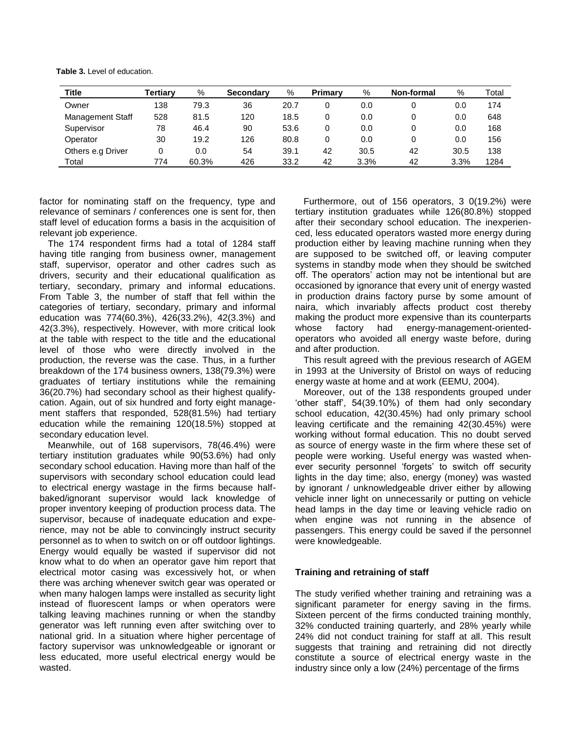**Table 3.** Level of education.

| Title                   | Tertiarv | %     | Secondary | %    | <b>Primary</b> | %    | Non-formal | %    | Total |
|-------------------------|----------|-------|-----------|------|----------------|------|------------|------|-------|
| Owner                   | 138      | 79.3  | 36        | 20.7 |                | 0.0  |            | 0.0  | 174   |
| <b>Management Staff</b> | 528      | 81.5  | 120       | 18.5 | 0              | 0.0  |            | 0.0  | 648   |
| Supervisor              | 78       | 46.4  | 90        | 53.6 | 0              | 0.0  |            | 0.0  | 168   |
| Operator                | 30       | 19.2  | 126       | 80.8 | 0              | 0.0  |            | 0.0  | 156   |
| Others e.g Driver       |          | 0.0   | 54        | 39.1 | 42             | 30.5 | 42         | 30.5 | 138   |
| Total                   | 774      | 60.3% | 426       | 33.2 | 42             | 3.3% | 42         | 3.3% | 1284  |

factor for nominating staff on the frequency, type and relevance of seminars / conferences one is sent for, then staff level of education forms a basis in the acquisition of relevant job experience.

The 174 respondent firms had a total of 1284 staff having title ranging from business owner, management staff, supervisor, operator and other cadres such as drivers, security and their educational qualification as tertiary, secondary, primary and informal educations. From Table 3, the number of staff that fell within the categories of tertiary, secondary, primary and informal education was 774(60.3%), 426(33.2%), 42(3.3%) and 42(3.3%), respectively. However, with more critical look at the table with respect to the title and the educational level of those who were directly involved in the production, the reverse was the case. Thus, in a further breakdown of the 174 business owners, 138(79.3%) were graduates of tertiary institutions while the remaining 36(20.7%) had secondary school as their highest qualifycation. Again, out of six hundred and forty eight management staffers that responded, 528(81.5%) had tertiary education while the remaining 120(18.5%) stopped at secondary education level.

Meanwhile, out of 168 supervisors, 78(46.4%) were tertiary institution graduates while 90(53.6%) had only secondary school education. Having more than half of the supervisors with secondary school education could lead to electrical energy wastage in the firms because halfbaked/ignorant supervisor would lack knowledge of proper inventory keeping of production process data. The supervisor, because of inadequate education and experience, may not be able to convincingly instruct security personnel as to when to switch on or off outdoor lightings. Energy would equally be wasted if supervisor did not know what to do when an operator gave him report that electrical motor casing was excessively hot, or when there was arching whenever switch gear was operated or when many halogen lamps were installed as security light instead of fluorescent lamps or when operators were talking leaving machines running or when the standby generator was left running even after switching over to national grid. In a situation where higher percentage of factory supervisor was unknowledgeable or ignorant or less educated, more useful electrical energy would be wasted.

Furthermore, out of 156 operators, 3 0(19.2%) were tertiary institution graduates while 126(80.8%) stopped after their secondary school education. The inexperienced, less educated operators wasted more energy during production either by leaving machine running when they are supposed to be switched off, or leaving computer systems in standby mode when they should be switched off. The operators' action may not be intentional but are occasioned by ignorance that every unit of energy wasted in production drains factory purse by some amount of naira, which invariably affects product cost thereby making the product more expensive than its counterparts whose factory had energy-management-orientedoperators who avoided all energy waste before, during and after production.

This result agreed with the previous research of AGEM in 1993 at the University of Bristol on ways of reducing energy waste at home and at work (EEMU, 2004).

Moreover, out of the 138 respondents grouped under 'other staff', 54(39.10%) of them had only secondary school education, 42(30.45%) had only primary school leaving certificate and the remaining 42(30.45%) were working without formal education. This no doubt served as source of energy waste in the firm where these set of people were working. Useful energy was wasted whenever security personnel 'forgets' to switch off security lights in the day time; also, energy (money) was wasted by ignorant / unknowledgeable driver either by allowing vehicle inner light on unnecessarily or putting on vehicle head lamps in the day time or leaving vehicle radio on when engine was not running in the absence of passengers. This energy could be saved if the personnel were knowledgeable.

## **Training and retraining of staff**

The study verified whether training and retraining was a significant parameter for energy saving in the firms. Sixteen percent of the firms conducted training monthly, 32% conducted training quarterly, and 28% yearly while 24% did not conduct training for staff at all. This result suggests that training and retraining did not directly constitute a source of electrical energy waste in the industry since only a low (24%) percentage of the firms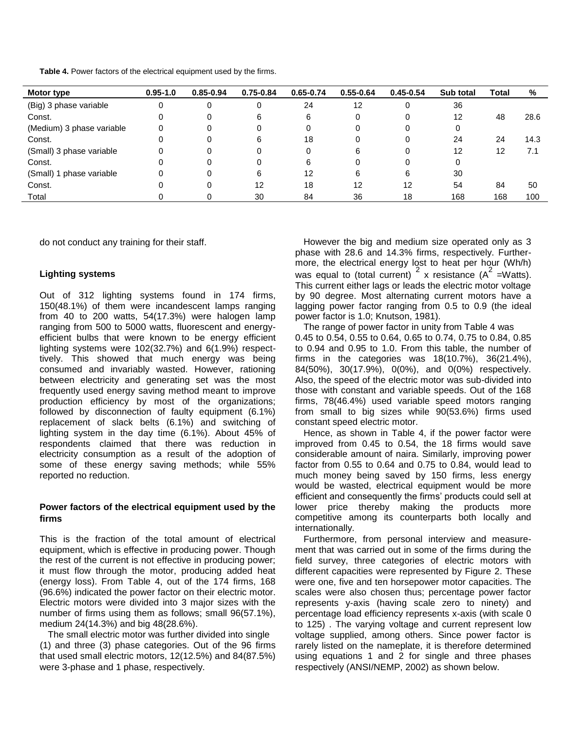**Table 4.** Power factors of the electrical equipment used by the firms.

| Motor type                | $0.95 - 1.0$ | $0.85 - 0.94$ | $0.75 - 0.84$ | $0.65 - 0.74$ | $0.55 - 0.64$ | $0.45 - 0.54$ | Sub total | Total | %    |
|---------------------------|--------------|---------------|---------------|---------------|---------------|---------------|-----------|-------|------|
| (Big) 3 phase variable    | 0            | 0             | 0             | 24            | 12            |               | 36        |       |      |
| Const.                    | 0            | 0             | 6             | 6             |               |               | 12        | 48    | 28.6 |
| (Medium) 3 phase variable | 0            | 0             | 0             |               |               |               | 0         |       |      |
| Const.                    | 0            | 0             | 6             | 18            |               |               | 24        | 24    | 14.3 |
| (Small) 3 phase variable  | 0            | 0             | 0             |               | 6             |               | 12        | 12    | 7.1  |
| Const.                    | 0            | 0             | 0             | 6             |               |               |           |       |      |
| (Small) 1 phase variable  | 0            | 0             | 6             | 12            | 6             | 6             | 30        |       |      |
| Const.                    |              | 0             | 12            | 18            | 12            | 12            | 54        | 84    | 50   |
| Total                     |              |               | 30            | 84            | 36            | 18            | 168       | 168   | 100  |

do not conduct any training for their staff.

## **Lighting systems**

Out of 312 lighting systems found in 174 firms, 150(48.1%) of them were incandescent lamps ranging from 40 to 200 watts, 54(17.3%) were halogen lamp ranging from 500 to 5000 watts, fluorescent and energyefficient bulbs that were known to be energy efficient lighting systems were 102(32.7%) and 6(1.9%) respecttively. This showed that much energy was being consumed and invariably wasted. However, rationing between electricity and generating set was the most frequently used energy saving method meant to improve production efficiency by most of the organizations; followed by disconnection of faulty equipment (6.1%) replacement of slack belts (6.1%) and switching of lighting system in the day time (6.1%). About 45% of respondents claimed that there was reduction in electricity consumption as a result of the adoption of some of these energy saving methods; while 55% reported no reduction.

## **Power factors of the electrical equipment used by the firms**

This is the fraction of the total amount of electrical equipment, which is effective in producing power. Though the rest of the current is not effective in producing power; it must flow through the motor, producing added heat (energy loss). From Table 4, out of the 174 firms, 168 (96.6%) indicated the power factor on their electric motor. Electric motors were divided into 3 major sizes with the number of firms using them as follows; small 96(57.1%), medium 24(14.3%) and big 48(28.6%).

The small electric motor was further divided into single (1) and three (3) phase categories. Out of the 96 firms that used small electric motors, 12(12.5%) and 84(87.5%) were 3-phase and 1 phase, respectively.

However the big and medium size operated only as 3 phase with 28.6 and 14.3% firms, respectively. Furthermore, the electrical energy lost to heat per hour (Wh/h) was equal to (total current)  $2 \times$  resistance (A<sup>2</sup> = Watts). This current either lags or leads the electric motor voltage by 90 degree. Most alternating current motors have a lagging power factor ranging from 0.5 to 0.9 (the ideal power factor is 1.0; Knutson, 1981).

The range of power factor in unity from Table 4 was 0.45 to 0.54, 0.55 to 0.64, 0.65 to 0.74, 0.75 to 0.84, 0.85 to 0.94 and 0.95 to 1.0. From this table, the number of firms in the categories was 18(10.7%), 36(21.4%), 84(50%), 30(17.9%), 0(0%), and 0(0%) respectively. Also, the speed of the electric motor was sub-divided into those with constant and variable speeds. Out of the 168 firms, 78(46.4%) used variable speed motors ranging from small to big sizes while 90(53.6%) firms used constant speed electric motor.

Hence, as shown in Table 4, if the power factor were improved from 0.45 to 0.54, the 18 firms would save considerable amount of naira. Similarly, improving power factor from 0.55 to 0.64 and 0.75 to 0.84, would lead to much money being saved by 150 firms, less energy would be wasted, electrical equipment would be more efficient and consequently the firms' products could sell at lower price thereby making the products more competitive among its counterparts both locally and internationally.

Furthermore, from personal interview and measurement that was carried out in some of the firms during the field survey, three categories of electric motors with different capacities were represented by Figure 2. These were one, five and ten horsepower motor capacities. The scales were also chosen thus; percentage power factor represents y-axis (having scale zero to ninety) and percentage load efficiency represents x-axis (with scale 0 to 125) . The varying voltage and current represent low voltage supplied, among others. Since power factor is rarely listed on the nameplate, it is therefore determined using equations 1 and 2 for single and three phases respectively (ANSI/NEMP, 2002) as shown below.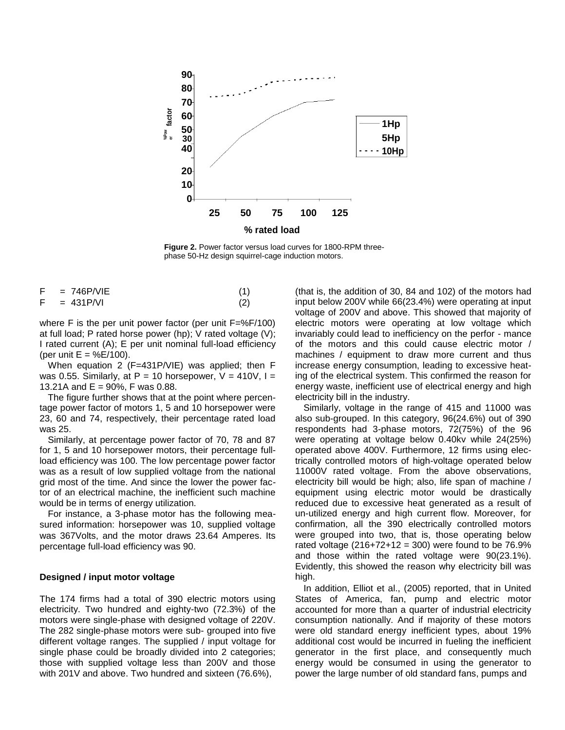

**Figure 2.** Power factor versus load curves for 1800-RPM threephase 50-Hz design squirrel-cage induction motors.

| $= 746$ P/VIE |  |
|---------------|--|
| $= 431$ P/VI  |  |

where F is the per unit power factor (per unit  $F=\frac{8F}{100}$ ) at full load; P rated horse power (hp); V rated voltage (V); I rated current (A); E per unit nominal full-load efficiency (per unit  $E = \%E/100$ ).

When equation 2 (F=431P/VIE) was applied; then F was 0.55. Similarly, at P = 10 horsepower,  $V = 410V$ , I = 13.21A and E = 90%, F was 0.88.

The figure further shows that at the point where percentage power factor of motors 1, 5 and 10 horsepower were 23, 60 and 74, respectively, their percentage rated load was 25.

Similarly, at percentage power factor of 70, 78 and 87 for 1, 5 and 10 horsepower motors, their percentage fullload efficiency was 100. The low percentage power factor was as a result of low supplied voltage from the national grid most of the time. And since the lower the power factor of an electrical machine, the inefficient such machine would be in terms of energy utilization.

For instance, a 3-phase motor has the following measured information: horsepower was 10, supplied voltage was 367Volts, and the motor draws 23.64 Amperes. Its percentage full-load efficiency was 90.

#### **Designed / input motor voltage**

The 174 firms had a total of 390 electric motors using electricity. Two hundred and eighty-two (72.3%) of the motors were single-phase with designed voltage of 220V. The 282 single-phase motors were sub- grouped into five different voltage ranges. The supplied / input voltage for single phase could be broadly divided into 2 categories; those with supplied voltage less than 200V and those with 201V and above. Two hundred and sixteen (76.6%),

(that is, the addition of 30, 84 and 102) of the motors had input below 200V while 66(23.4%) were operating at input voltage of 200V and above. This showed that majority of electric motors were operating at low voltage which invariably could lead to inefficiency on the perfor - mance of the motors and this could cause electric motor / machines / equipment to draw more current and thus increase energy consumption, leading to excessive heating of the electrical system. This confirmed the reason for energy waste, inefficient use of electrical energy and high electricity bill in the industry.

Similarly, voltage in the range of 415 and 11000 was also sub-grouped. In this category, 96(24.6%) out of 390 respondents had 3-phase motors, 72(75%) of the 96 were operating at voltage below 0.40kv while 24(25%) operated above 400V. Furthermore, 12 firms using electrically controlled motors of high-voltage operated below 11000V rated voltage. From the above observations, electricity bill would be high; also, life span of machine / equipment using electric motor would be drastically reduced due to excessive heat generated as a result of un-utilized energy and high current flow. Moreover, for confirmation, all the 390 electrically controlled motors were grouped into two, that is, those operating below rated voltage  $(216+72+12 = 300)$  were found to be 76.9% and those within the rated voltage were 90(23.1%). Evidently, this showed the reason why electricity bill was high.

In addition, Elliot et al., (2005) reported, that in United States of America, fan, pump and electric motor accounted for more than a quarter of industrial electricity consumption nationally. And if majority of these motors were old standard energy inefficient types, about 19% additional cost would be incurred in fueling the inefficient generator in the first place, and consequently much energy would be consumed in using the generator to power the large number of old standard fans, pumps and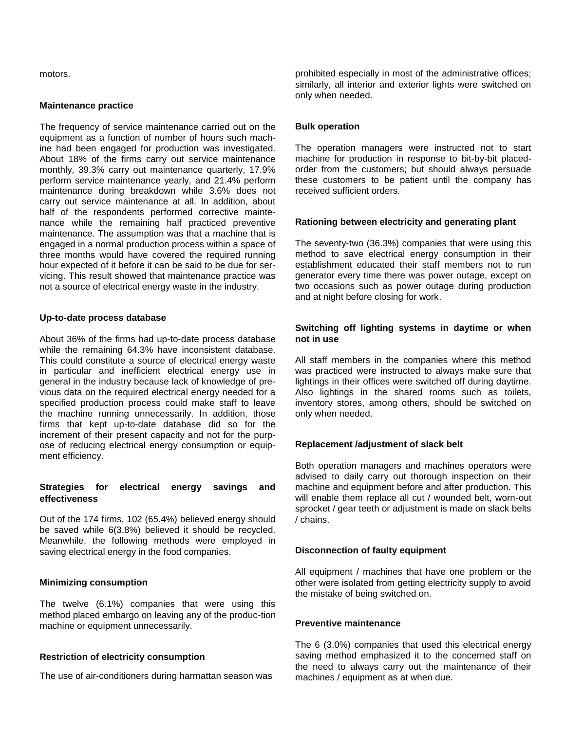motors.

#### **Maintenance practice**

The frequency of service maintenance carried out on the equipment as a function of number of hours such machine had been engaged for production was investigated. About 18% of the firms carry out service maintenance monthly, 39.3% carry out maintenance quarterly, 17.9% perform service maintenance yearly, and 21.4% perform maintenance during breakdown while 3.6% does not carry out service maintenance at all. In addition, about half of the respondents performed corrective maintenance while the remaining half practiced preventive maintenance. The assumption was that a machine that is engaged in a normal production process within a space of three months would have covered the required running hour expected of it before it can be said to be due for servicing. This result showed that maintenance practice was not a source of electrical energy waste in the industry.

## **Up-to-date process database**

About 36% of the firms had up-to-date process database while the remaining 64.3% have inconsistent database. This could constitute a source of electrical energy waste in particular and inefficient electrical energy use in general in the industry because lack of knowledge of previous data on the required electrical energy needed for a specified production process could make staff to leave the machine running unnecessarily. In addition, those firms that kept up-to-date database did so for the increment of their present capacity and not for the purpose of reducing electrical energy consumption or equipment efficiency.

## **Strategies for electrical energy savings and effectiveness**

Out of the 174 firms, 102 (65.4%) believed energy should be saved while 6(3.8%) believed it should be recycled. Meanwhile, the following methods were employed in saving electrical energy in the food companies.

## **Minimizing consumption**

The twelve (6.1%) companies that were using this method placed embargo on leaving any of the produc-tion machine or equipment unnecessarily.

## **Restriction of electricity consumption**

The use of air-conditioners during harmattan season was

prohibited especially in most of the administrative offices; similarly, all interior and exterior lights were switched on only when needed.

## **Bulk operation**

The operation managers were instructed not to start machine for production in response to bit-by-bit placedorder from the customers; but should always persuade these customers to be patient until the company has received sufficient orders.

## **Rationing between electricity and generating plant**

The seventy-two (36.3%) companies that were using this method to save electrical energy consumption in their establishment educated their staff members not to run generator every time there was power outage, except on two occasions such as power outage during production and at night before closing for work.

## **Switching off lighting systems in daytime or when not in use**

All staff members in the companies where this method was practiced were instructed to always make sure that lightings in their offices were switched off during daytime. Also lightings in the shared rooms such as toilets, inventory stores, among others, should be switched on only when needed.

## **Replacement /adjustment of slack belt**

Both operation managers and machines operators were advised to daily carry out thorough inspection on their machine and equipment before and after production. This will enable them replace all cut / wounded belt, worn-out sprocket / gear teeth or adjustment is made on slack belts / chains.

## **Disconnection of faulty equipment**

All equipment / machines that have one problem or the other were isolated from getting electricity supply to avoid the mistake of being switched on.

## **Preventive maintenance**

The 6 (3.0%) companies that used this electrical energy saving method emphasized it to the concerned staff on the need to always carry out the maintenance of their machines / equipment as at when due.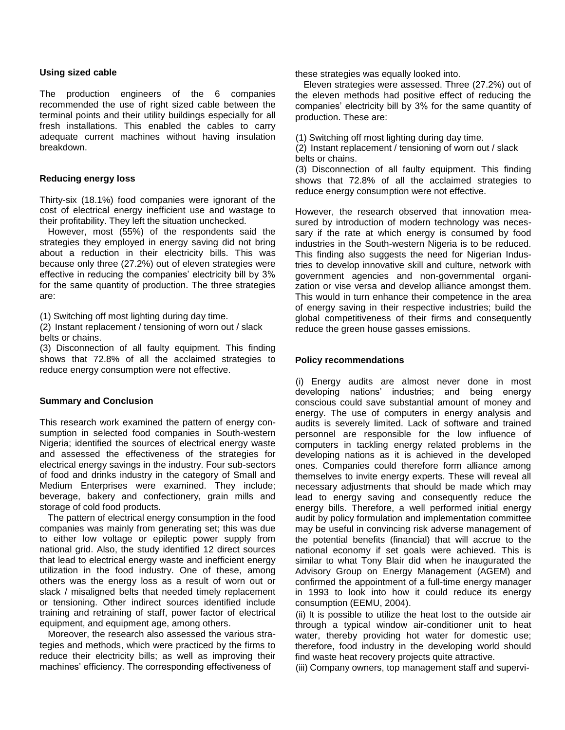## **Using sized cable**

The production engineers of the 6 companies recommended the use of right sized cable between the terminal points and their utility buildings especially for all fresh installations. This enabled the cables to carry adequate current machines without having insulation breakdown.

## **Reducing energy loss**

Thirty-six (18.1%) food companies were ignorant of the cost of electrical energy inefficient use and wastage to their profitability. They left the situation unchecked.

However, most (55%) of the respondents said the strategies they employed in energy saving did not bring about a reduction in their electricity bills. This was because only three (27.2%) out of eleven strategies were effective in reducing the companies' electricity bill by 3% for the same quantity of production. The three strategies are:

(1) Switching off most lighting during day time.

(2) Instant replacement / tensioning of worn out / slack belts or chains.

(3) Disconnection of all faulty equipment. This finding shows that 72.8% of all the acclaimed strategies to reduce energy consumption were not effective.

## **Summary and Conclusion**

This research work examined the pattern of energy consumption in selected food companies in South-western Nigeria; identified the sources of electrical energy waste and assessed the effectiveness of the strategies for electrical energy savings in the industry. Four sub-sectors of food and drinks industry in the category of Small and Medium Enterprises were examined. They include; beverage, bakery and confectionery, grain mills and storage of cold food products.

The pattern of electrical energy consumption in the food companies was mainly from generating set; this was due to either low voltage or epileptic power supply from national grid. Also, the study identified 12 direct sources that lead to electrical energy waste and inefficient energy utilization in the food industry. One of these, among others was the energy loss as a result of worn out or slack / misaligned belts that needed timely replacement or tensioning. Other indirect sources identified include training and retraining of staff, power factor of electrical equipment, and equipment age, among others.

Moreover, the research also assessed the various strategies and methods, which were practiced by the firms to reduce their electricity bills; as well as improving their machines' efficiency. The corresponding effectiveness of

these strategies was equally looked into.

Eleven strategies were assessed. Three (27.2%) out of the eleven methods had positive effect of reducing the companies' electricity bill by 3% for the same quantity of production. These are:

(1) Switching off most lighting during day time.

(2) Instant replacement / tensioning of worn out / slack belts or chains.

(3) Disconnection of all faulty equipment. This finding shows that 72.8% of all the acclaimed strategies to reduce energy consumption were not effective.

However, the research observed that innovation measured by introduction of modern technology was necessary if the rate at which energy is consumed by food industries in the South-western Nigeria is to be reduced. This finding also suggests the need for Nigerian Industries to develop innovative skill and culture, network with government agencies and non-governmental organization or vise versa and develop alliance amongst them. This would in turn enhance their competence in the area of energy saving in their respective industries; build the global competitiveness of their firms and consequently reduce the green house gasses emissions.

## **Policy recommendations**

(i) Energy audits are almost never done in most developing nations' industries; and being energy conscious could save substantial amount of money and energy. The use of computers in energy analysis and audits is severely limited. Lack of software and trained personnel are responsible for the low influence of computers in tackling energy related problems in the developing nations as it is achieved in the developed ones. Companies could therefore form alliance among themselves to invite energy experts. These will reveal all necessary adjustments that should be made which may lead to energy saving and consequently reduce the energy bills. Therefore, a well performed initial energy audit by policy formulation and implementation committee may be useful in convincing risk adverse management of the potential benefits (financial) that will accrue to the national economy if set goals were achieved. This is similar to what Tony Blair did when he inaugurated the Advisory Group on Energy Management (AGEM) and confirmed the appointment of a full-time energy manager in 1993 to look into how it could reduce its energy consumption (EEMU, 2004).

(ii) It is possible to utilize the heat lost to the outside air through a typical window air-conditioner unit to heat water, thereby providing hot water for domestic use; therefore, food industry in the developing world should find waste heat recovery projects quite attractive.

(iii) Company owners, top management staff and supervi-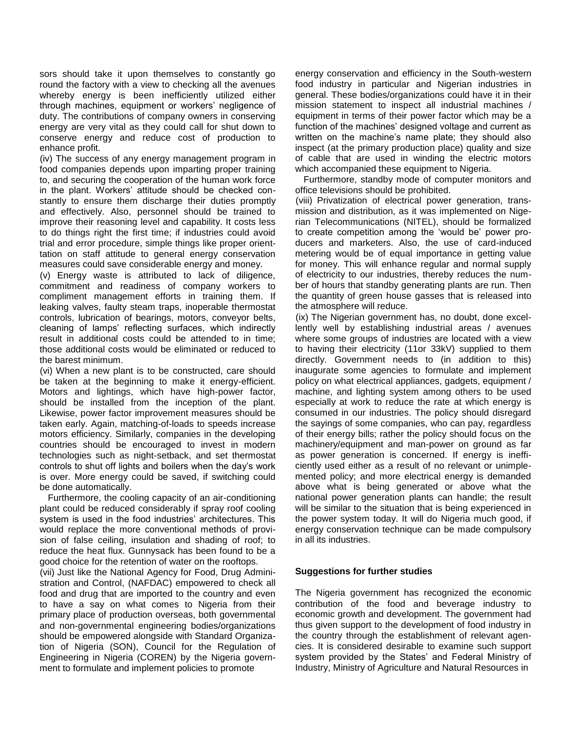sors should take it upon themselves to constantly go round the factory with a view to checking all the avenues whereby energy is been inefficiently utilized either through machines, equipment or workers' negligence of duty. The contributions of company owners in conserving energy are very vital as they could call for shut down to conserve energy and reduce cost of production to enhance profit.

(iv) The success of any energy management program in food companies depends upon imparting proper training to, and securing the cooperation of the human work force in the plant. Workers' attitude should be checked constantly to ensure them discharge their duties promptly and effectively. Also, personnel should be trained to improve their reasoning level and capability. It costs less to do things right the first time; if industries could avoid trial and error procedure, simple things like proper orienttation on staff attitude to general energy conservation measures could save considerable energy and money.

(v) Energy waste is attributed to lack of diligence, commitment and readiness of company workers to compliment management efforts in training them. If leaking valves, faulty steam traps, inoperable thermostat controls, lubrication of bearings, motors, conveyor belts, cleaning of lamps' reflecting surfaces, which indirectly result in additional costs could be attended to in time; those additional costs would be eliminated or reduced to the barest minimum.

(vi) When a new plant is to be constructed, care should be taken at the beginning to make it energy-efficient. Motors and lightings, which have high-power factor, should be installed from the inception of the plant. Likewise, power factor improvement measures should be taken early. Again, matching-of-loads to speeds increase motors efficiency. Similarly, companies in the developing countries should be encouraged to invest in modern technologies such as night-setback, and set thermostat controls to shut off lights and boilers when the day's work is over. More energy could be saved, if switching could be done automatically.

Furthermore, the cooling capacity of an air-conditioning plant could be reduced considerably if spray roof cooling system is used in the food industries' architectures. This would replace the more conventional methods of provision of false ceiling, insulation and shading of roof; to reduce the heat flux. Gunnysack has been found to be a good choice for the retention of water on the rooftops.

(vii) Just like the National Agency for Food, Drug Administration and Control, (NAFDAC) empowered to check all food and drug that are imported to the country and even to have a say on what comes to Nigeria from their primary place of production overseas, both governmental and non-governmental engineering bodies/organizations should be empowered alongside with Standard Organization of Nigeria (SON), Council for the Regulation of Engineering in Nigeria (COREN) by the Nigeria government to formulate and implement policies to promote

energy conservation and efficiency in the South-western food industry in particular and Nigerian industries in general. These bodies/organizations could have it in their mission statement to inspect all industrial machines / equipment in terms of their power factor which may be a function of the machines' designed voltage and current as written on the machine's name plate; they should also inspect (at the primary production place) quality and size of cable that are used in winding the electric motors which accompanied these equipment to Nigeria.

Furthermore, standby mode of computer monitors and office televisions should be prohibited.

(viii) Privatization of electrical power generation, transmission and distribution, as it was implemented on Nigerian Telecommunications (NITEL), should be formalized to create competition among the 'would be' power producers and marketers. Also, the use of card-induced metering would be of equal importance in getting value for money. This will enhance regular and normal supply of electricity to our industries, thereby reduces the number of hours that standby generating plants are run. Then the quantity of green house gasses that is released into the atmosphere will reduce.

(ix) The Nigerian government has, no doubt, done excellently well by establishing industrial areas / avenues where some groups of industries are located with a view to having their electricity (11or 33kV) supplied to them directly. Government needs to (in addition to this) inaugurate some agencies to formulate and implement policy on what electrical appliances, gadgets, equipment / machine, and lighting system among others to be used especially at work to reduce the rate at which energy is consumed in our industries. The policy should disregard the sayings of some companies, who can pay, regardless of their energy bills; rather the policy should focus on the machinery/equipment and man-power on ground as far as power generation is concerned. If energy is inefficiently used either as a result of no relevant or unimplemented policy; and more electrical energy is demanded above what is being generated or above what the national power generation plants can handle; the result will be similar to the situation that is being experienced in the power system today. It will do Nigeria much good, if energy conservation technique can be made compulsory in all its industries.

## **Suggestions for further studies**

The Nigeria government has recognized the economic contribution of the food and beverage industry to economic growth and development. The government had thus given support to the development of food industry in the country through the establishment of relevant agencies. It is considered desirable to examine such support system provided by the States' and Federal Ministry of Industry, Ministry of Agriculture and Natural Resources in